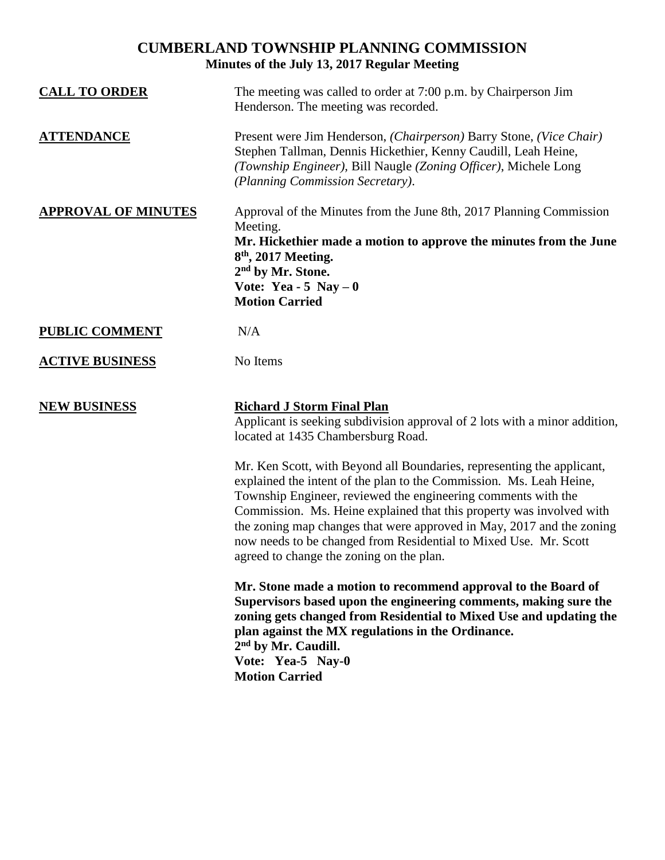## **CUMBERLAND TOWNSHIP PLANNING COMMISSION Minutes of the July 13, 2017 Regular Meeting**

| <b>CALL TO ORDER</b>       | The meeting was called to order at 7:00 p.m. by Chairperson Jim<br>Henderson. The meeting was recorded.                                                                                                                                                                                                                                                                                                                                                                                                                  |
|----------------------------|--------------------------------------------------------------------------------------------------------------------------------------------------------------------------------------------------------------------------------------------------------------------------------------------------------------------------------------------------------------------------------------------------------------------------------------------------------------------------------------------------------------------------|
| <b>ATTENDANCE</b>          | Present were Jim Henderson, (Chairperson) Barry Stone, (Vice Chair)<br>Stephen Tallman, Dennis Hickethier, Kenny Caudill, Leah Heine,<br>(Township Engineer), Bill Naugle (Zoning Officer), Michele Long<br>(Planning Commission Secretary).                                                                                                                                                                                                                                                                             |
| <b>APPROVAL OF MINUTES</b> | Approval of the Minutes from the June 8th, 2017 Planning Commission<br>Meeting.<br>Mr. Hickethier made a motion to approve the minutes from the June<br>$8th$ , 2017 Meeting.<br>2 <sup>nd</sup> by Mr. Stone.<br>Vote: Yea - 5 Nay $-0$<br><b>Motion Carried</b>                                                                                                                                                                                                                                                        |
| <b>PUBLIC COMMENT</b>      | N/A                                                                                                                                                                                                                                                                                                                                                                                                                                                                                                                      |
| <b>ACTIVE BUSINESS</b>     | No Items                                                                                                                                                                                                                                                                                                                                                                                                                                                                                                                 |
| <b>NEW BUSINESS</b>        | <b>Richard J Storm Final Plan</b><br>Applicant is seeking subdivision approval of 2 lots with a minor addition,<br>located at 1435 Chambersburg Road.<br>Mr. Ken Scott, with Beyond all Boundaries, representing the applicant,<br>explained the intent of the plan to the Commission. Ms. Leah Heine,<br>Township Engineer, reviewed the engineering comments with the<br>Commission. Ms. Heine explained that this property was involved with<br>the zoning map changes that were approved in May, 2017 and the zoning |
|                            | now needs to be changed from Residential to Mixed Use. Mr. Scott<br>agreed to change the zoning on the plan.                                                                                                                                                                                                                                                                                                                                                                                                             |
|                            | Mr. Stone made a motion to recommend approval to the Board of<br>Supervisors based upon the engineering comments, making sure the<br>zoning gets changed from Residential to Mixed Use and updating the<br>plan against the MX regulations in the Ordinance.<br>2 <sup>nd</sup> by Mr. Caudill.<br>Vote: Yea-5 Nay-0<br><b>Motion Carried</b>                                                                                                                                                                            |